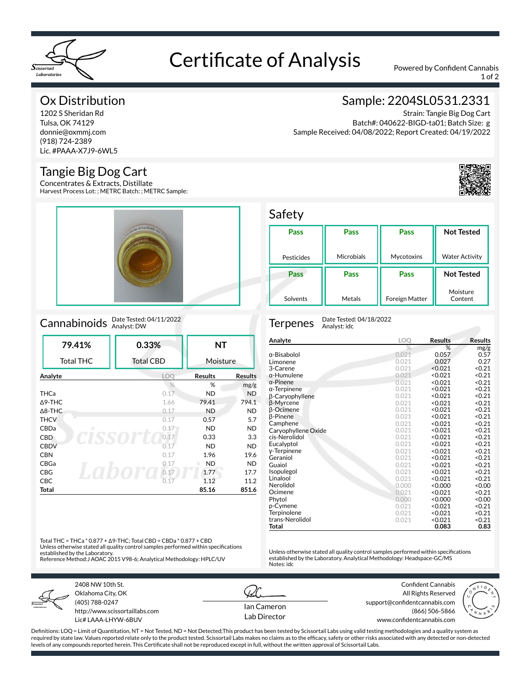

# Certificate of Analysis Powered by Confident Cannabis

1 of 2

### Ox Distribution

1202 S Sheridan Rd Tulsa, OK 74129 donnie@oxmmj.com (918) 724-2389 Lic. #PAAA-X7J9-6WL5

### Tangie Big Dog Cart

Concentrates & Extracts, Distillate Harvest Process Lot: ; METRC Batch: ; METRC Sample:



### Cannabinoids Date Tested: 04/11/2022

| 79.41%            | 0.33%            | <b>NT</b>      |                |
|-------------------|------------------|----------------|----------------|
| <b>Total THC</b>  | <b>Total CBD</b> | Moisture       |                |
| Analyte           | LOO              | <b>Results</b> | <b>Results</b> |
|                   | $\frac{0}{6}$    | %              | mg/g           |
| <b>THCa</b>       | 0.17             | <b>ND</b>      | <b>ND</b>      |
| $\triangle$ 9-THC | 1.66             | 79.41          | 794.1          |
| $\triangle$ 8-THC | 0.17             | <b>ND</b>      | <b>ND</b>      |
| <b>THCV</b>       | 0.17             | 0.57           | 5.7            |
| CBDa<br>л         | 0.17             | <b>ND</b>      | <b>ND</b>      |
| <b>CBD</b>        | 0.17             | 0.33           | 3.3            |
| <b>CBDV</b>       | 0.17             | <b>ND</b>      | <b>ND</b>      |
| <b>CBN</b>        | 0.17             | 1.96           | 19.6           |
| CBGa              | 0.17             | <b>ND</b><br>m | <b>ND</b>      |
| <b>CBG</b>        | 0.17             | 1.77           | 17.7           |
| <b>CBC</b>        | 0.17             | 1.12           | 11.2           |
| Total             |                  | 85.16          | 851.6          |

### Sample: 2204SL0531.2331

Strain: Tangie Big Dog Cart Batch#: 040622-BIGD-ta01; Batch Size: g Sample Received: 04/08/2022; Report Created: 04/19/2022



#### Safety

| Pass       | Pass              | Pass                  | <b>Not Tested</b>     |
|------------|-------------------|-----------------------|-----------------------|
|            |                   |                       |                       |
|            |                   |                       |                       |
| Pesticides | <b>Microbials</b> | Mycotoxins            | <b>Water Activity</b> |
|            |                   |                       |                       |
| Pass       | Pass              | Pass                  | <b>Not Tested</b>     |
|            |                   |                       |                       |
|            |                   |                       | Moisture              |
| Solvents   | Metals            | <b>Foreign Matter</b> | Content               |

Terpenes Date Tested: 04/18/2022 Analyst: idc

| Analyte             | LOQ           | Results | <b>Results</b>    |
|---------------------|---------------|---------|-------------------|
|                     | $\frac{0}{0}$ | %       | mg/g              |
| α-Bisabolol         | 0.021         | 0.057   | 0.57              |
| Limonene            | 0.021         | 0.027   | 0.27              |
| 3-Carene            | 0.021         | < 0.021 | < 0.21            |
| $\alpha$ -Humulene  | 0.021         | < 0.021 | < 0.21            |
| $\alpha$ -Pinene    | 0.021         | < 0.021 | < 0.21            |
| $\alpha$ -Terpinene | 0.021         | < 0.021 | < 0.21            |
| β-Caryophyllene     | 0.021         | < 0.021 | < 0.21            |
| β-Myrcene           | 0.021         | < 0.021 | < 0.21            |
| β-Ocimene           | 0.021         | < 0.021 | < 0.21            |
| <b>B-Pinene</b>     | 0.021         | < 0.021 | < 0.21            |
| Camphene            | 0.021         | < 0.021 | < 0.21            |
| Caryophyllene Oxide | 0.021         | < 0.021 | < 0.21            |
| cis-Nerolidol       | 0.021         | < 0.021 | < 0.21            |
| Eucalyptol          | 0.021         | < 0.021 | < 0.21            |
| y-Terpinene         | 0.021         | < 0.021 | < 0.21            |
| Geraniol            | 0.021         | < 0.021 | < 0.21            |
| Guaiol              | 0.021         | < 0.021 | < 0.21            |
| Isopulegol          | 0.021         | < 0.021 | < 0.21            |
| Linalool            | 0.021         | < 0.021 | < 0.21            |
| Nerolidol           | 0.000         | < 0.000 | < 0.00            |
| Ocimene             | 0.021         | < 0.021 | < 0.21            |
| Phytol              | 0.000         | < 0.000 | 0.00 <sub>2</sub> |
| p-Cymene            | 0.021         | < 0.021 | < 0.21            |
| Terpinolene         | 0.021         | < 0.021 | < 0.21            |
| trans-Nerolidol     | 0.021         | < 0.021 | < 0.21            |
| Total               |               | 0.083   | 0.83              |

Unless otherwise stated all quality control samples performed within specifications established by the Laboratory. Analytical Methodology: Headspace-GC/MS

Total THC = THCa \* 0.877 + Δ9-THC; Total CBD = CBDa \* 0.877 + CBD Unless otherwise stated all quality control samples performed within specifications established by the Laboratory. Reference Method:J AOAC 2015 V98-6; Analytical Methodology: HPLC/UV



2408 NW 10th St. Oklahoma City, OK (405) 788-0247 http://www.scissortaillabs.com Lic# LAAA-LHYW-6BUV

Ian Cameron Lab Director

Notes: idc

Confident Cannabis All Rights Reserved support@confidentcannabis.com (866) 506-5866 www.confidentcannabis.com



Definitions: LOQ = Limit of Quantitation, NT = Not Tested, ND = Not Detected;This product has been tested by Scissortail Labs using valid testing methodologies and a quality system as required by state law. Values reported relate only to the product tested. Scissortail Labs makes no claims as to the efficacy, safety or other risks associated with any detected or non-detected levels of any compounds reported herein. This Certificate shall not be reproduced except in full, without the written approval of Scissortail Labs.